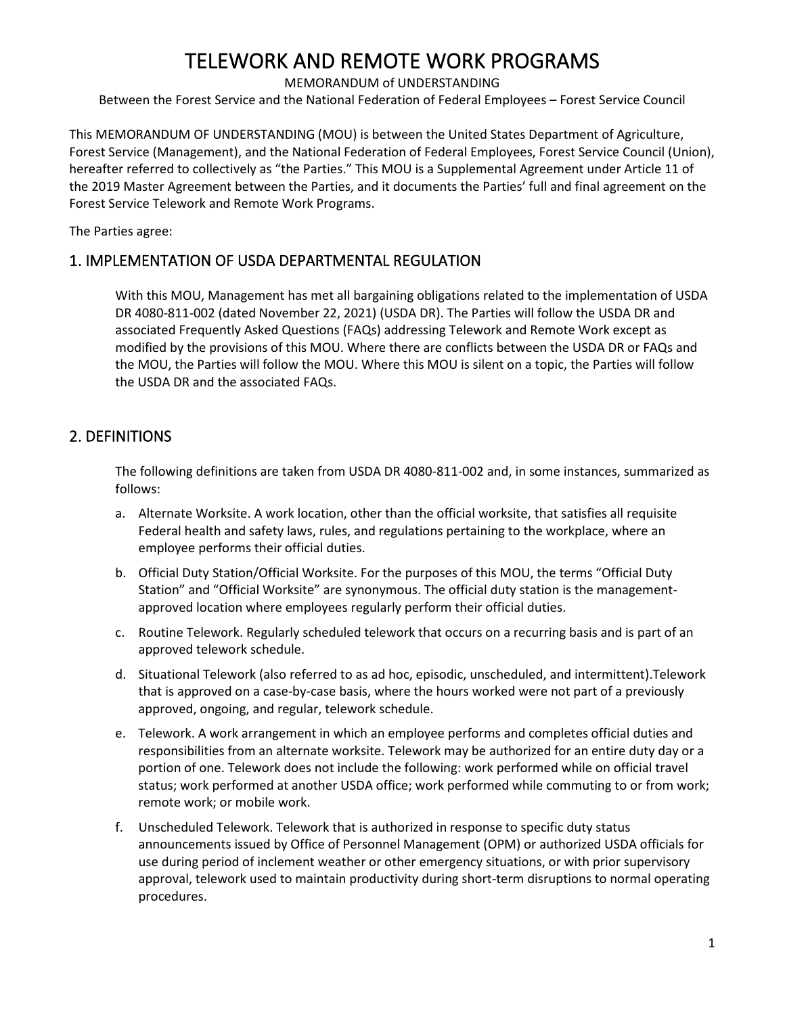MEMORANDUM of UNDERSTANDING

Between the Forest Service and the National Federation of Federal Employees – Forest Service Council

This MEMORANDUM OF UNDERSTANDING (MOU) is between the United States Department of Agriculture, Forest Service (Management), and the National Federation of Federal Employees, Forest Service Council (Union), hereafter referred to collectively as "the Parties." This MOU is a Supplemental Agreement under Article 11 of the 2019 Master Agreement between the Parties, and it documents the Parties' full and final agreement on the Forest Service Telework and Remote Work Programs.

The Parties agree:

### 1. IMPLEMENTATION OF USDA DEPARTMENTAL REGULATION

With this MOU, Management has met all bargaining obligations related to the implementation of USDA DR 4080-811-002 (dated November 22, 2021) (USDA DR). The Parties will follow the USDA DR and associated Frequently Asked Questions (FAQs) addressing Telework and Remote Work except as modified by the provisions of this MOU. Where there are conflicts between the USDA DR or FAQs and the MOU, the Parties will follow the MOU. Where this MOU is silent on a topic, the Parties will follow the USDA DR and the associated FAQs.

### 2. DEFINITIONS

The following definitions are taken from USDA DR 4080-811-002 and, in some instances, summarized as follows:

- a. Alternate Worksite. A work location, other than the official worksite, that satisfies all requisite Federal health and safety laws, rules, and regulations pertaining to the workplace, where an employee performs their official duties.
- b. Official Duty Station/Official Worksite. For the purposes of this MOU, the terms "Official Duty Station" and "Official Worksite" are synonymous. The official duty station is the managementapproved location where employees regularly perform their official duties.
- c. Routine Telework. Regularly scheduled telework that occurs on a recurring basis and is part of an approved telework schedule.
- d. Situational Telework (also referred to as ad hoc, episodic, unscheduled, and intermittent).Telework that is approved on a case-by-case basis, where the hours worked were not part of a previously approved, ongoing, and regular, telework schedule.
- e. Telework. A work arrangement in which an employee performs and completes official duties and responsibilities from an alternate worksite. Telework may be authorized for an entire duty day or a portion of one. Telework does not include the following: work performed while on official travel status; work performed at another USDA office; work performed while commuting to or from work; remote work; or mobile work.
- f. Unscheduled Telework. Telework that is authorized in response to specific duty status announcements issued by Office of Personnel Management (OPM) or authorized USDA officials for use during period of inclement weather or other emergency situations, or with prior supervisory approval, telework used to maintain productivity during short-term disruptions to normal operating procedures.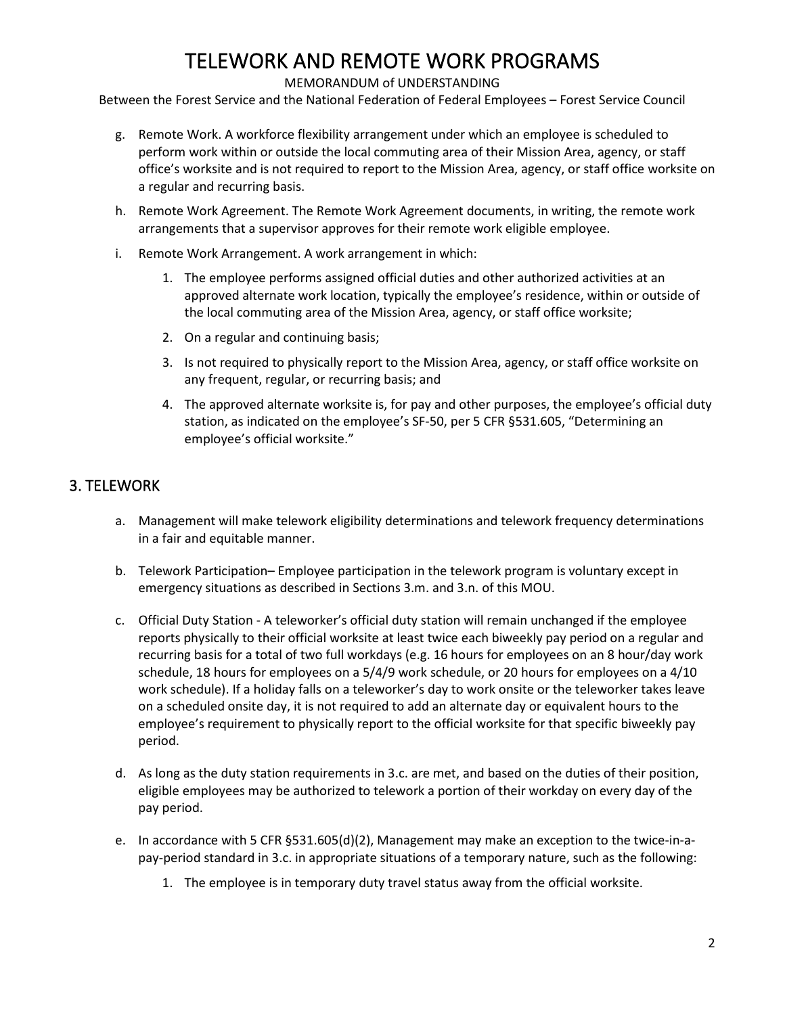### MEMORANDUM of UNDERSTANDING

Between the Forest Service and the National Federation of Federal Employees – Forest Service Council

- g. Remote Work. A workforce flexibility arrangement under which an employee is scheduled to perform work within or outside the local commuting area of their Mission Area, agency, or staff office's worksite and is not required to report to the Mission Area, agency, or staff office worksite on a regular and recurring basis.
- h. Remote Work Agreement. The Remote Work Agreement documents, in writing, the remote work arrangements that a supervisor approves for their remote work eligible employee.
- i. Remote Work Arrangement. A work arrangement in which:
	- 1. The employee performs assigned official duties and other authorized activities at an approved alternate work location, typically the employee's residence, within or outside of the local commuting area of the Mission Area, agency, or staff office worksite;
	- 2. On a regular and continuing basis;
	- 3. Is not required to physically report to the Mission Area, agency, or staff office worksite on any frequent, regular, or recurring basis; and
	- 4. The approved alternate worksite is, for pay and other purposes, the employee's official duty station, as indicated on the employee's SF-50, per 5 CFR §531.605, "Determining an employee's official worksite."

### 3. TELEWORK

- a. Management will make telework eligibility determinations and telework frequency determinations in a fair and equitable manner.
- b. Telework Participation– Employee participation in the telework program is voluntary except in emergency situations as described in Sections 3.m. and 3.n. of this MOU.
- c. Official Duty Station A teleworker's official duty station will remain unchanged if the employee reports physically to their official worksite at least twice each biweekly pay period on a regular and recurring basis for a total of two full workdays (e.g. 16 hours for employees on an 8 hour/day work schedule, 18 hours for employees on a 5/4/9 work schedule, or 20 hours for employees on a 4/10 work schedule). If a holiday falls on a teleworker's day to work onsite or the teleworker takes leave on a scheduled onsite day, it is not required to add an alternate day or equivalent hours to the employee's requirement to physically report to the official worksite for that specific biweekly pay period.
- d. As long as the duty station requirements in 3.c. are met, and based on the duties of their position, eligible employees may be authorized to telework a portion of their workday on every day of the pay period.
- e. In accordance with 5 CFR §531.605(d)(2), Management may make an exception to the twice-in-apay-period standard in 3.c. in appropriate situations of a temporary nature, such as the following:
	- 1. The employee is in temporary duty travel status away from the official worksite.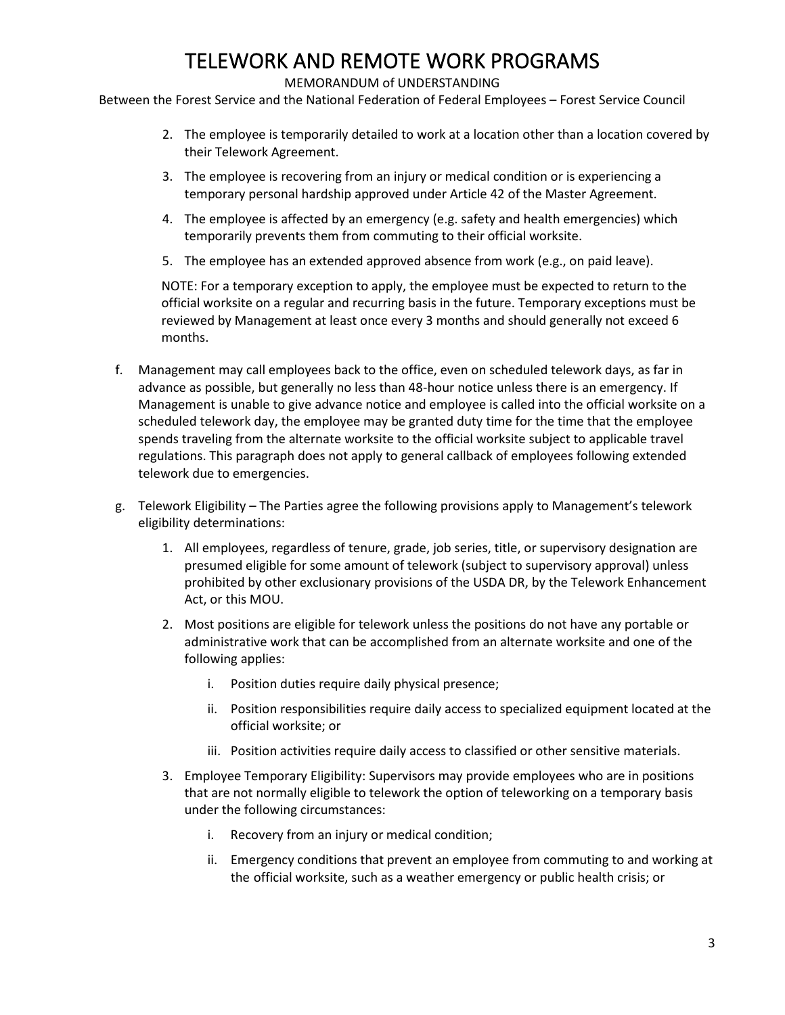### MEMORANDUM of UNDERSTANDING

Between the Forest Service and the National Federation of Federal Employees – Forest Service Council

- 2. The employee is temporarily detailed to work at a location other than a location covered by their Telework Agreement.
- 3. The employee is recovering from an injury or medical condition or is experiencing a temporary personal hardship approved under Article 42 of the Master Agreement.
- 4. The employee is affected by an emergency (e.g. safety and health emergencies) which temporarily prevents them from commuting to their official worksite.
- 5. The employee has an extended approved absence from work (e.g., on paid leave).

NOTE: For a temporary exception to apply, the employee must be expected to return to the official worksite on a regular and recurring basis in the future. Temporary exceptions must be reviewed by Management at least once every 3 months and should generally not exceed 6 months.

- f. Management may call employees back to the office, even on scheduled telework days, as far in advance as possible, but generally no less than 48-hour notice unless there is an emergency. If Management is unable to give advance notice and employee is called into the official worksite on a scheduled telework day, the employee may be granted duty time for the time that the employee spends traveling from the alternate worksite to the official worksite subject to applicable travel regulations. This paragraph does not apply to general callback of employees following extended telework due to emergencies.
- g. Telework Eligibility The Parties agree the following provisions apply to Management's telework eligibility determinations:
	- 1. All employees, regardless of tenure, grade, job series, title, or supervisory designation are presumed eligible for some amount of telework (subject to supervisory approval) unless prohibited by other exclusionary provisions of the USDA DR, by the Telework Enhancement Act, or this MOU.
	- 2. Most positions are eligible for telework unless the positions do not have any portable or administrative work that can be accomplished from an alternate worksite and one of the following applies:
		- i. Position duties require daily physical presence;
		- ii. Position responsibilities require daily access to specialized equipment located at the official worksite; or
		- iii. Position activities require daily access to classified or other sensitive materials.
	- 3. Employee Temporary Eligibility: Supervisors may provide employees who are in positions that are not normally eligible to telework the option of teleworking on a temporary basis under the following circumstances:
		- i. Recovery from an injury or medical condition;
		- ii. Emergency conditions that prevent an employee from commuting to and working at the official worksite, such as a weather emergency or public health crisis; or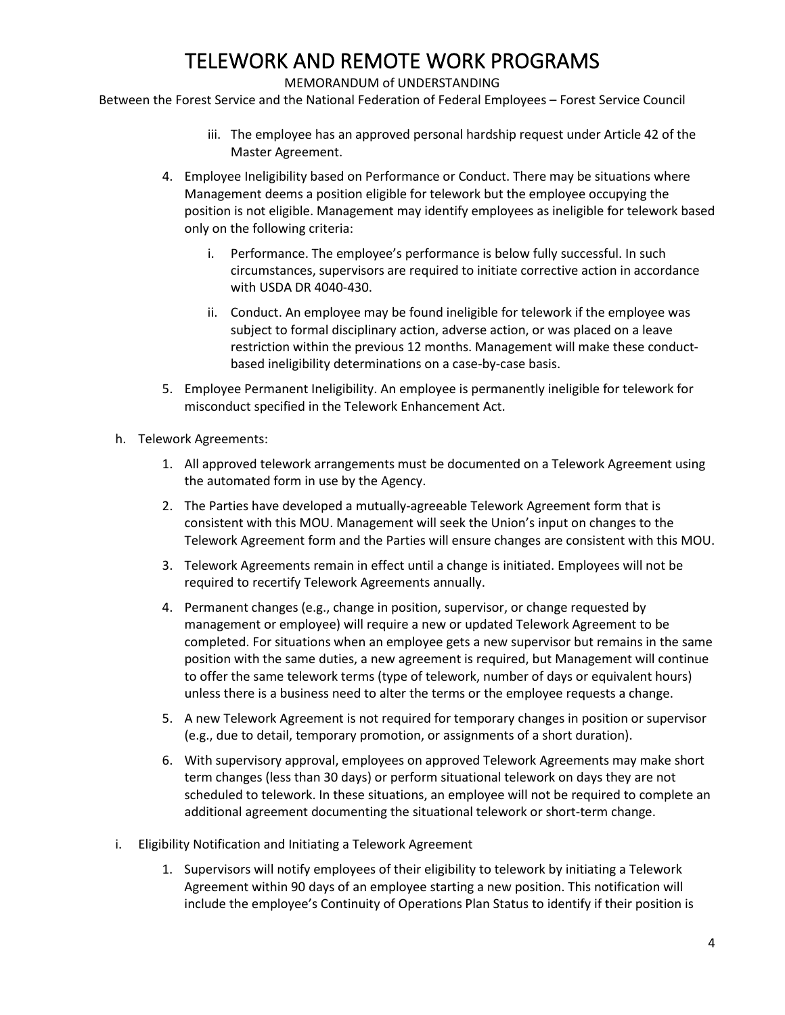#### MEMORANDUM of UNDERSTANDING

Between the Forest Service and the National Federation of Federal Employees – Forest Service Council

- iii. The employee has an approved personal hardship request under Article 42 of the Master Agreement.
- 4. Employee Ineligibility based on Performance or Conduct. There may be situations where Management deems a position eligible for telework but the employee occupying the position is not eligible. Management may identify employees as ineligible for telework based only on the following criteria:
	- Performance. The employee's performance is below fully successful. In such circumstances, supervisors are required to initiate corrective action in accordance with USDA DR 4040-430.
	- ii. Conduct. An employee may be found ineligible for telework if the employee was subject to formal disciplinary action, adverse action, or was placed on a leave restriction within the previous 12 months. Management will make these conductbased ineligibility determinations on a case-by-case basis.
- 5. Employee Permanent Ineligibility. An employee is permanently ineligible for telework for misconduct specified in the Telework Enhancement Act.
- h. Telework Agreements:
	- 1. All approved telework arrangements must be documented on a Telework Agreement using the automated form in use by the Agency.
	- 2. The Parties have developed a mutually-agreeable Telework Agreement form that is consistent with this MOU. Management will seek the Union's input on changes to the Telework Agreement form and the Parties will ensure changes are consistent with this MOU.
	- 3. Telework Agreements remain in effect until a change is initiated. Employees will not be required to recertify Telework Agreements annually.
	- 4. Permanent changes (e.g., change in position, supervisor, or change requested by management or employee) will require a new or updated Telework Agreement to be completed. For situations when an employee gets a new supervisor but remains in the same position with the same duties, a new agreement is required, but Management will continue to offer the same telework terms (type of telework, number of days or equivalent hours) unless there is a business need to alter the terms or the employee requests a change.
	- 5. A new Telework Agreement is not required for temporary changes in position or supervisor (e.g., due to detail, temporary promotion, or assignments of a short duration).
	- 6. With supervisory approval, employees on approved Telework Agreements may make short term changes (less than 30 days) or perform situational telework on days they are not scheduled to telework. In these situations, an employee will not be required to complete an additional agreement documenting the situational telework or short-term change.
- i. Eligibility Notification and Initiating a Telework Agreement
	- 1. Supervisors will notify employees of their eligibility to telework by initiating a Telework Agreement within 90 days of an employee starting a new position. This notification will include the employee's Continuity of Operations Plan Status to identify if their position is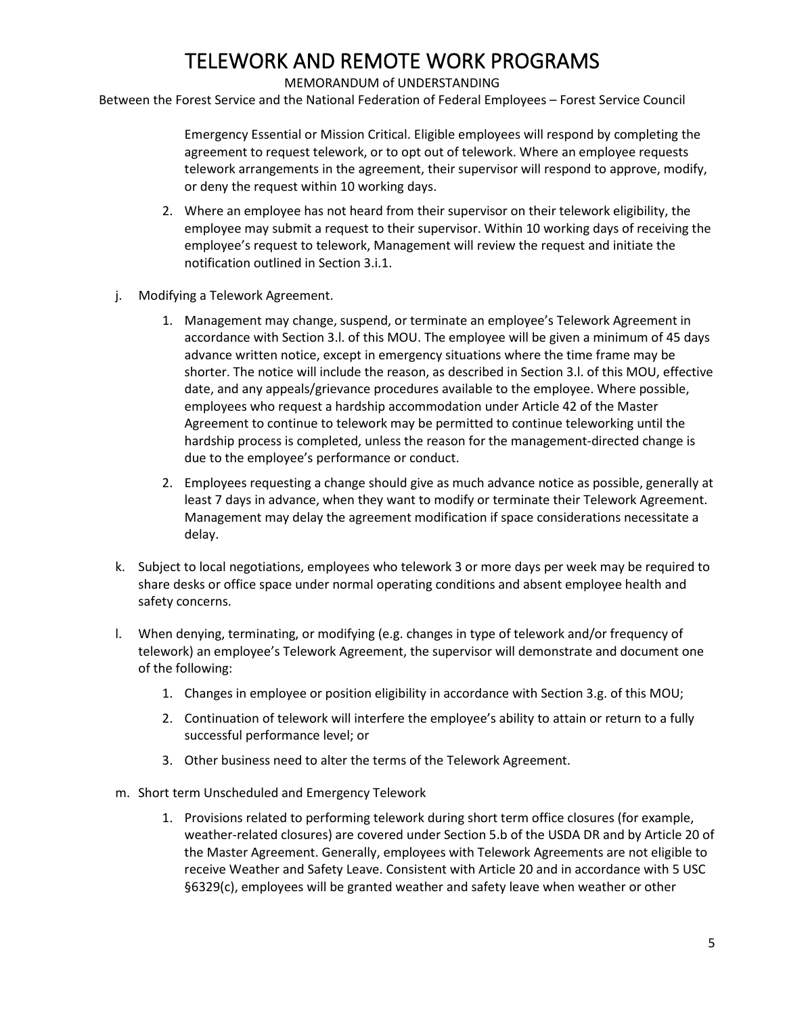#### MEMORANDUM of UNDERSTANDING

Between the Forest Service and the National Federation of Federal Employees – Forest Service Council

Emergency Essential or Mission Critical. Eligible employees will respond by completing the agreement to request telework, or to opt out of telework. Where an employee requests telework arrangements in the agreement, their supervisor will respond to approve, modify, or deny the request within 10 working days.

- 2. Where an employee has not heard from their supervisor on their telework eligibility, the employee may submit a request to their supervisor. Within 10 working days of receiving the employee's request to telework, Management will review the request and initiate the notification outlined in Section 3.i.1.
- j. Modifying a Telework Agreement.
	- 1. Management may change, suspend, or terminate an employee's Telework Agreement in accordance with Section 3.l. of this MOU. The employee will be given a minimum of 45 days advance written notice, except in emergency situations where the time frame may be shorter. The notice will include the reason, as described in Section 3.l. of this MOU, effective date, and any appeals/grievance procedures available to the employee. Where possible, employees who request a hardship accommodation under Article 42 of the Master Agreement to continue to telework may be permitted to continue teleworking until the hardship process is completed, unless the reason for the management-directed change is due to the employee's performance or conduct.
	- 2. Employees requesting a change should give as much advance notice as possible, generally at least 7 days in advance, when they want to modify or terminate their Telework Agreement. Management may delay the agreement modification if space considerations necessitate a delay.
- k. Subject to local negotiations, employees who telework 3 or more days per week may be required to share desks or office space under normal operating conditions and absent employee health and safety concerns.
- l. When denying, terminating, or modifying (e.g. changes in type of telework and/or frequency of telework) an employee's Telework Agreement, the supervisor will demonstrate and document one of the following:
	- 1. Changes in employee or position eligibility in accordance with Section 3.g. of this MOU;
	- 2. Continuation of telework will interfere the employee's ability to attain or return to a fully successful performance level; or
	- 3. Other business need to alter the terms of the Telework Agreement.
- m. Short term Unscheduled and Emergency Telework
	- 1. Provisions related to performing telework during short term office closures (for example, weather-related closures) are covered under Section 5.b of the USDA DR and by Article 20 of the Master Agreement. Generally, employees with Telework Agreements are not eligible to receive Weather and Safety Leave. Consistent with Article 20 and in accordance with 5 USC §6329(c), employees will be granted weather and safety leave when weather or other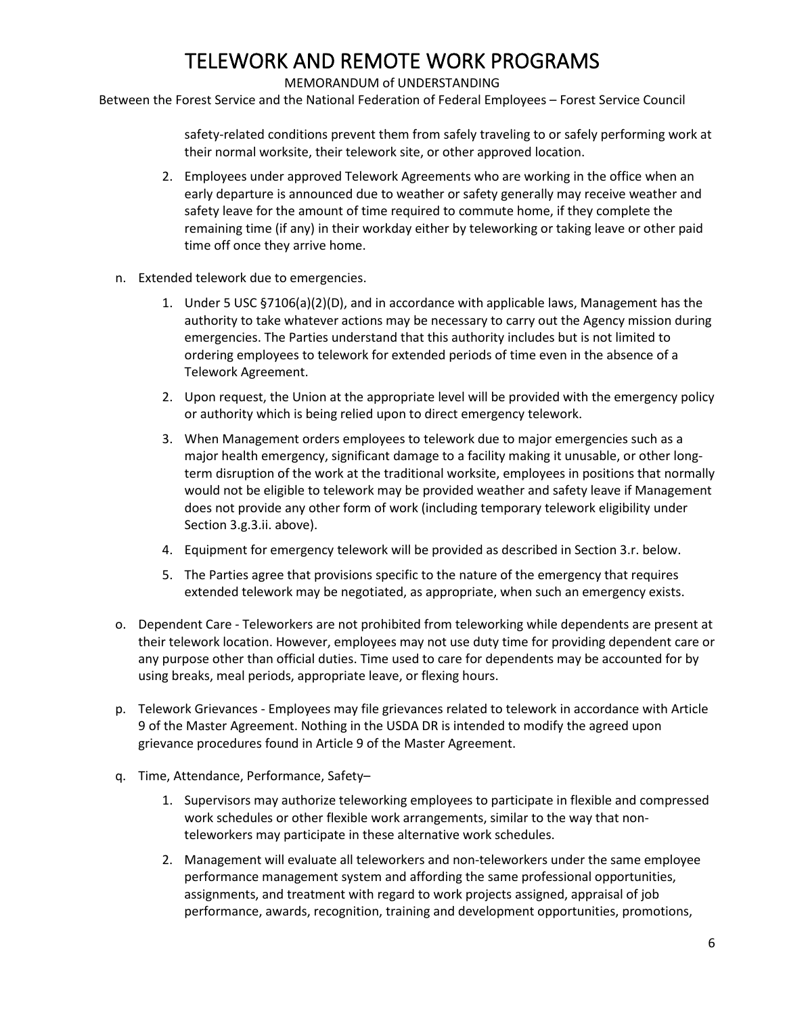MEMORANDUM of UNDERSTANDING

Between the Forest Service and the National Federation of Federal Employees – Forest Service Council

safety-related conditions prevent them from safely traveling to or safely performing work at their normal worksite, their telework site, or other approved location.

- 2. Employees under approved Telework Agreements who are working in the office when an early departure is announced due to weather or safety generally may receive weather and safety leave for the amount of time required to commute home, if they complete the remaining time (if any) in their workday either by teleworking or taking leave or other paid time off once they arrive home.
- n. Extended telework due to emergencies.
	- 1. Under 5 USC §7106(a)(2)(D), and in accordance with applicable laws, Management has the authority to take whatever actions may be necessary to carry out the Agency mission during emergencies. The Parties understand that this authority includes but is not limited to ordering employees to telework for extended periods of time even in the absence of a Telework Agreement.
	- 2. Upon request, the Union at the appropriate level will be provided with the emergency policy or authority which is being relied upon to direct emergency telework.
	- 3. When Management orders employees to telework due to major emergencies such as a major health emergency, significant damage to a facility making it unusable, or other longterm disruption of the work at the traditional worksite, employees in positions that normally would not be eligible to telework may be provided weather and safety leave if Management does not provide any other form of work (including temporary telework eligibility under Section 3.g.3.ii. above).
	- 4. Equipment for emergency telework will be provided as described in Section 3.r. below.
	- 5. The Parties agree that provisions specific to the nature of the emergency that requires extended telework may be negotiated, as appropriate, when such an emergency exists.
- o. Dependent Care Teleworkers are not prohibited from teleworking while dependents are present at their telework location. However, employees may not use duty time for providing dependent care or any purpose other than official duties. Time used to care for dependents may be accounted for by using breaks, meal periods, appropriate leave, or flexing hours.
- p. Telework Grievances Employees may file grievances related to telework in accordance with Article 9 of the Master Agreement. Nothing in the USDA DR is intended to modify the agreed upon grievance procedures found in Article 9 of the Master Agreement.
- q. Time, Attendance, Performance, Safety–
	- 1. Supervisors may authorize teleworking employees to participate in flexible and compressed work schedules or other flexible work arrangements, similar to the way that nonteleworkers may participate in these alternative work schedules.
	- 2. Management will evaluate all teleworkers and non-teleworkers under the same employee performance management system and affording the same professional opportunities, assignments, and treatment with regard to work projects assigned, appraisal of job performance, awards, recognition, training and development opportunities, promotions,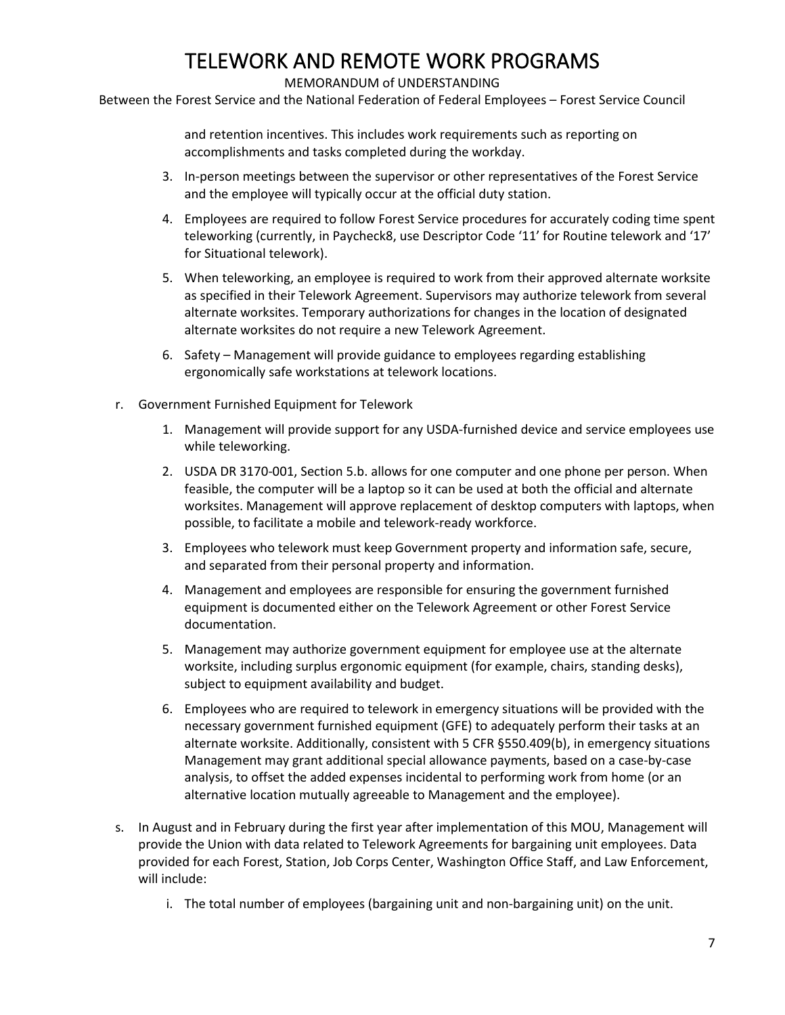#### MEMORANDUM of UNDERSTANDING

Between the Forest Service and the National Federation of Federal Employees – Forest Service Council

and retention incentives. This includes work requirements such as reporting on accomplishments and tasks completed during the workday.

- 3. In-person meetings between the supervisor or other representatives of the Forest Service and the employee will typically occur at the official duty station.
- 4. Employees are required to follow Forest Service procedures for accurately coding time spent teleworking (currently, in Paycheck8, use Descriptor Code '11' for Routine telework and '17' for Situational telework).
- 5. When teleworking, an employee is required to work from their approved alternate worksite as specified in their Telework Agreement. Supervisors may authorize telework from several alternate worksites. Temporary authorizations for changes in the location of designated alternate worksites do not require a new Telework Agreement.
- 6. Safety Management will provide guidance to employees regarding establishing ergonomically safe workstations at telework locations.
- r. Government Furnished Equipment for Telework
	- 1. Management will provide support for any USDA-furnished device and service employees use while teleworking.
	- 2. USDA DR 3170-001, Section 5.b. allows for one computer and one phone per person. When feasible, the computer will be a laptop so it can be used at both the official and alternate worksites. Management will approve replacement of desktop computers with laptops, when possible, to facilitate a mobile and telework-ready workforce.
	- 3. Employees who telework must keep Government property and information safe, secure, and separated from their personal property and information.
	- 4. Management and employees are responsible for ensuring the government furnished equipment is documented either on the Telework Agreement or other Forest Service documentation.
	- 5. Management may authorize government equipment for employee use at the alternate worksite, including surplus ergonomic equipment (for example, chairs, standing desks), subject to equipment availability and budget.
	- 6. Employees who are required to telework in emergency situations will be provided with the necessary government furnished equipment (GFE) to adequately perform their tasks at an alternate worksite. Additionally, consistent with 5 CFR §550.409(b), in emergency situations Management may grant additional special allowance payments, based on a case-by-case analysis, to offset the added expenses incidental to performing work from home (or an alternative location mutually agreeable to Management and the employee).
- s. In August and in February during the first year after implementation of this MOU, Management will provide the Union with data related to Telework Agreements for bargaining unit employees. Data provided for each Forest, Station, Job Corps Center, Washington Office Staff, and Law Enforcement, will include:
	- i. The total number of employees (bargaining unit and non-bargaining unit) on the unit.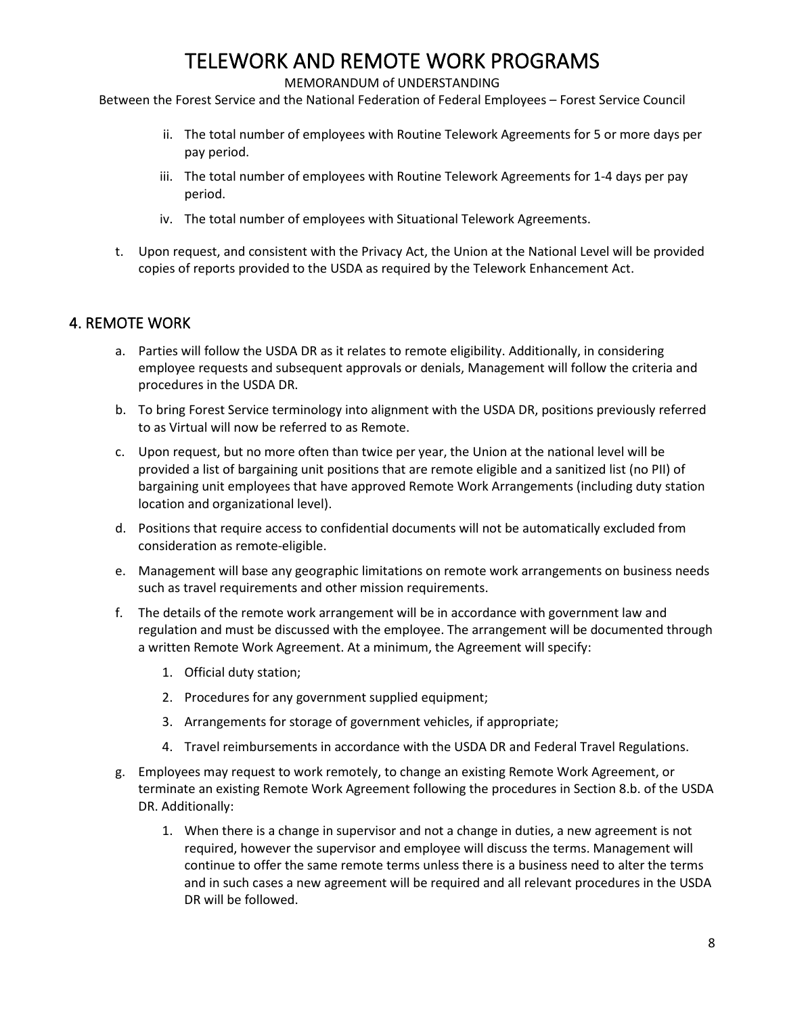#### MEMORANDUM of UNDERSTANDING

Between the Forest Service and the National Federation of Federal Employees – Forest Service Council

- ii. The total number of employees with Routine Telework Agreements for 5 or more days per pay period.
- iii. The total number of employees with Routine Telework Agreements for 1-4 days per pay period.
- iv. The total number of employees with Situational Telework Agreements.
- t. Upon request, and consistent with the Privacy Act, the Union at the National Level will be provided copies of reports provided to the USDA as required by the Telework Enhancement Act.

### 4. REMOTE WORK

- a. Parties will follow the USDA DR as it relates to remote eligibility. Additionally, in considering employee requests and subsequent approvals or denials, Management will follow the criteria and procedures in the USDA DR.
- b. To bring Forest Service terminology into alignment with the USDA DR, positions previously referred to as Virtual will now be referred to as Remote.
- c. Upon request, but no more often than twice per year, the Union at the national level will be provided a list of bargaining unit positions that are remote eligible and a sanitized list (no PII) of bargaining unit employees that have approved Remote Work Arrangements (including duty station location and organizational level).
- d. Positions that require access to confidential documents will not be automatically excluded from consideration as remote-eligible.
- e. Management will base any geographic limitations on remote work arrangements on business needs such as travel requirements and other mission requirements.
- f. The details of the remote work arrangement will be in accordance with government law and regulation and must be discussed with the employee. The arrangement will be documented through a written Remote Work Agreement. At a minimum, the Agreement will specify:
	- 1. Official duty station;
	- 2. Procedures for any government supplied equipment;
	- 3. Arrangements for storage of government vehicles, if appropriate;
	- 4. Travel reimbursements in accordance with the USDA DR and Federal Travel Regulations.
- g. Employees may request to work remotely, to change an existing Remote Work Agreement, or terminate an existing Remote Work Agreement following the procedures in Section 8.b. of the USDA DR. Additionally:
	- 1. When there is a change in supervisor and not a change in duties, a new agreement is not required, however the supervisor and employee will discuss the terms. Management will continue to offer the same remote terms unless there is a business need to alter the terms and in such cases a new agreement will be required and all relevant procedures in the USDA DR will be followed.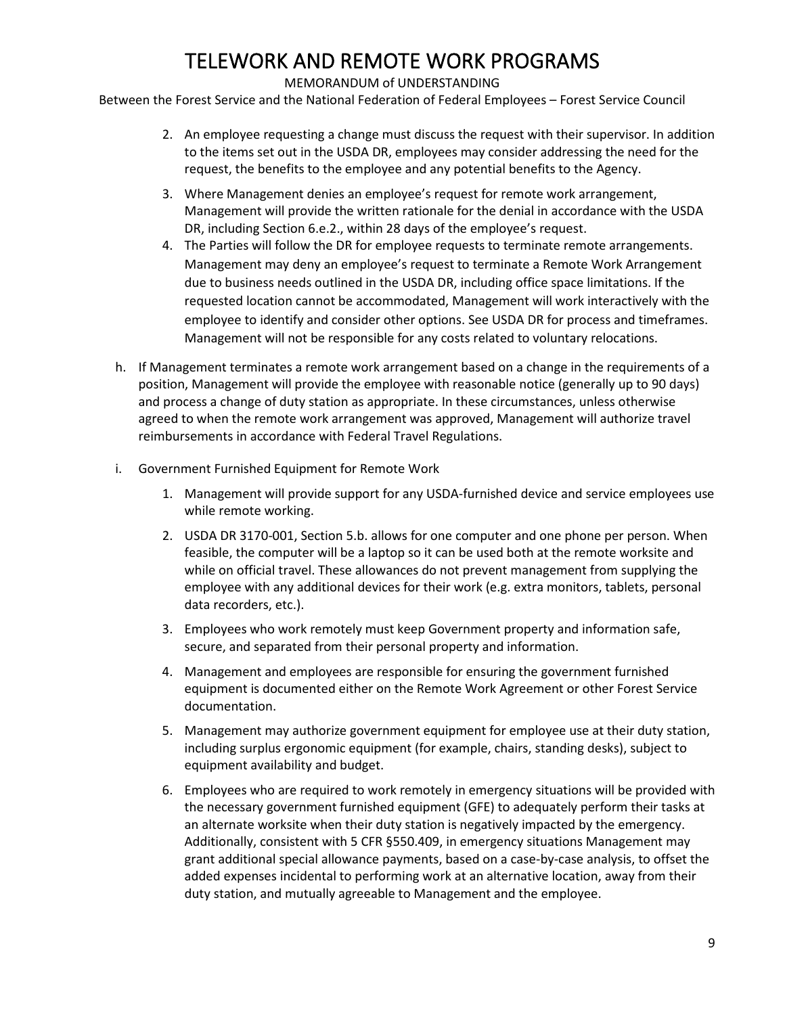### MEMORANDUM of UNDERSTANDING

Between the Forest Service and the National Federation of Federal Employees – Forest Service Council

- 2. An employee requesting a change must discuss the request with their supervisor. In addition to the items set out in the USDA DR, employees may consider addressing the need for the request, the benefits to the employee and any potential benefits to the Agency.
- 3. Where Management denies an employee's request for remote work arrangement, Management will provide the written rationale for the denial in accordance with the USDA DR, including Section 6.e.2., within 28 days of the employee's request.
- 4. The Parties will follow the DR for employee requests to terminate remote arrangements. Management may deny an employee's request to terminate a Remote Work Arrangement due to business needs outlined in the USDA DR, including office space limitations. If the requested location cannot be accommodated, Management will work interactively with the employee to identify and consider other options. See USDA DR for process and timeframes. Management will not be responsible for any costs related to voluntary relocations.
- h. If Management terminates a remote work arrangement based on a change in the requirements of a position, Management will provide the employee with reasonable notice (generally up to 90 days) and process a change of duty station as appropriate. In these circumstances, unless otherwise agreed to when the remote work arrangement was approved, Management will authorize travel reimbursements in accordance with Federal Travel Regulations.
- i. Government Furnished Equipment for Remote Work
	- 1. Management will provide support for any USDA-furnished device and service employees use while remote working.
	- 2. USDA DR 3170-001, Section 5.b. allows for one computer and one phone per person. When feasible, the computer will be a laptop so it can be used both at the remote worksite and while on official travel. These allowances do not prevent management from supplying the employee with any additional devices for their work (e.g. extra monitors, tablets, personal data recorders, etc.).
	- 3. Employees who work remotely must keep Government property and information safe, secure, and separated from their personal property and information.
	- 4. Management and employees are responsible for ensuring the government furnished equipment is documented either on the Remote Work Agreement or other Forest Service documentation.
	- 5. Management may authorize government equipment for employee use at their duty station, including surplus ergonomic equipment (for example, chairs, standing desks), subject to equipment availability and budget.
	- 6. Employees who are required to work remotely in emergency situations will be provided with the necessary government furnished equipment (GFE) to adequately perform their tasks at an alternate worksite when their duty station is negatively impacted by the emergency. Additionally, consistent with 5 CFR §550.409, in emergency situations Management may grant additional special allowance payments, based on a case-by-case analysis, to offset the added expenses incidental to performing work at an alternative location, away from their duty station, and mutually agreeable to Management and the employee.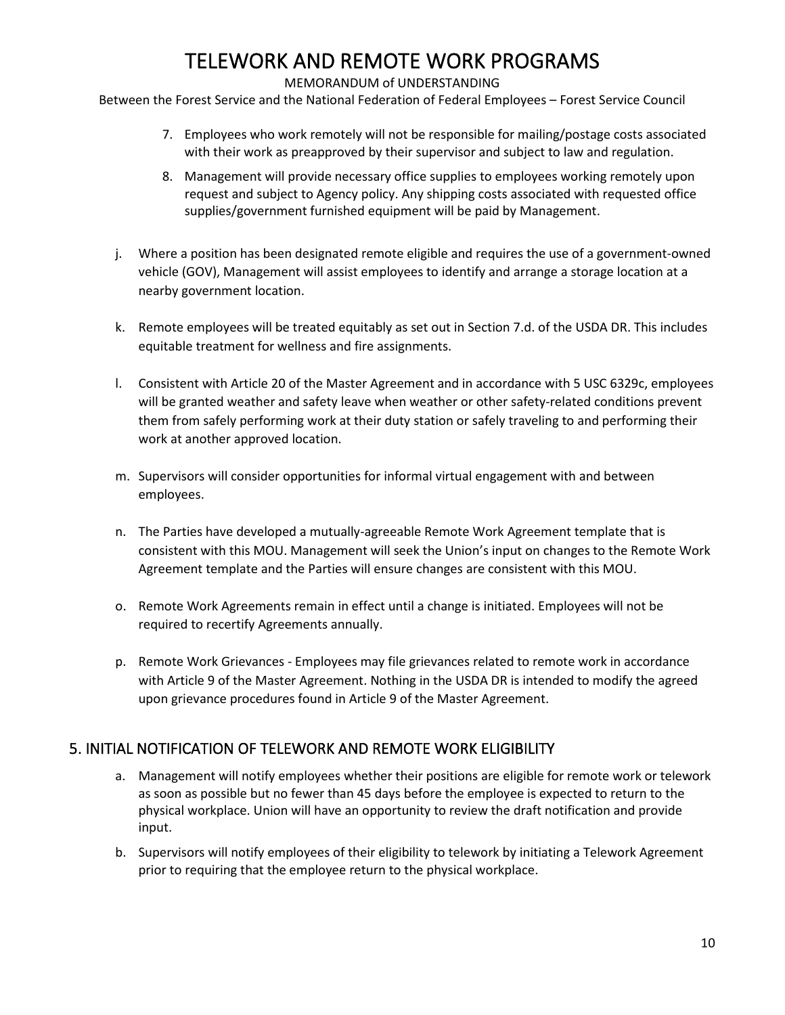### MEMORANDUM of UNDERSTANDING

Between the Forest Service and the National Federation of Federal Employees – Forest Service Council

- 7. Employees who work remotely will not be responsible for mailing/postage costs associated with their work as preapproved by their supervisor and subject to law and regulation.
- 8. Management will provide necessary office supplies to employees working remotely upon request and subject to Agency policy. Any shipping costs associated with requested office supplies/government furnished equipment will be paid by Management.
- j. Where a position has been designated remote eligible and requires the use of a government-owned vehicle (GOV), Management will assist employees to identify and arrange a storage location at a nearby government location.
- k. Remote employees will be treated equitably as set out in Section 7.d. of the USDA DR. This includes equitable treatment for wellness and fire assignments.
- l. Consistent with Article 20 of the Master Agreement and in accordance with 5 USC 6329c, employees will be granted weather and safety leave when weather or other safety-related conditions prevent them from safely performing work at their duty station or safely traveling to and performing their work at another approved location.
- m. Supervisors will consider opportunities for informal virtual engagement with and between employees.
- n. The Parties have developed a mutually-agreeable Remote Work Agreement template that is consistent with this MOU. Management will seek the Union's input on changes to the Remote Work Agreement template and the Parties will ensure changes are consistent with this MOU.
- o. Remote Work Agreements remain in effect until a change is initiated. Employees will not be required to recertify Agreements annually.
- p. Remote Work Grievances Employees may file grievances related to remote work in accordance with Article 9 of the Master Agreement. Nothing in the USDA DR is intended to modify the agreed upon grievance procedures found in Article 9 of the Master Agreement.

### 5. INITIAL NOTIFICATION OF TELEWORK AND REMOTE WORK ELIGIBILITY

- a. Management will notify employees whether their positions are eligible for remote work or telework as soon as possible but no fewer than 45 days before the employee is expected to return to the physical workplace. Union will have an opportunity to review the draft notification and provide input.
- b. Supervisors will notify employees of their eligibility to telework by initiating a Telework Agreement prior to requiring that the employee return to the physical workplace.